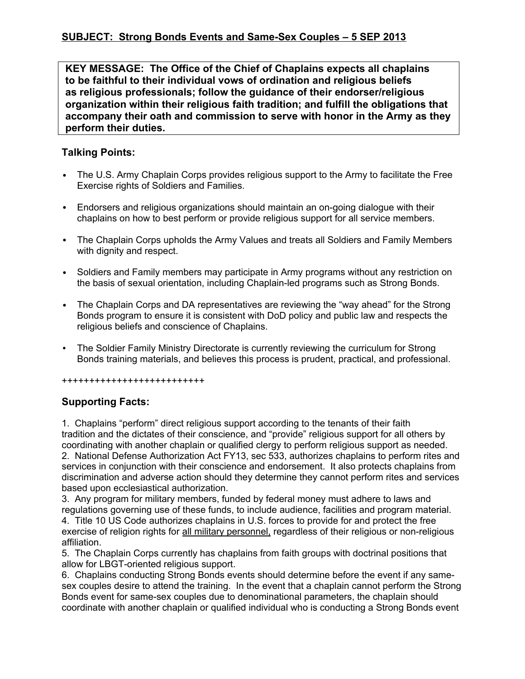**KEY MESSAGE: The Office of the Chief of Chaplains expects all chaplains to be faithful to their individual vows of ordination and religious beliefs as religious professionals; follow the guidance of their endorser/religious organization within their religious faith tradition; and fulfill the obligations that accompany their oath and commission to serve with honor in the Army as they perform their duties.**

## **Talking Points:**

- The U.S. Army Chaplain Corps provides religious support to the Army to facilitate the Free Exercise rights of Soldiers and Families.
- Endorsers and religious organizations should maintain an on-going dialogue with their chaplains on how to best perform or provide religious support for all service members.
- The Chaplain Corps upholds the Army Values and treats all Soldiers and Family Members with dignity and respect.
- Soldiers and Family members may participate in Army programs without any restriction on the basis of sexual orientation, including Chaplain-led programs such as Strong Bonds.
- The Chaplain Corps and DA representatives are reviewing the "way ahead" for the Strong Bonds program to ensure it is consistent with DoD policy and public law and respects the religious beliefs and conscience of Chaplains.
- The Soldier Family Ministry Directorate is currently reviewing the curriculum for Strong Bonds training materials, and believes this process is prudent, practical, and professional.

## ++++++++++++++++++++++++++

## **Supporting Facts:**

1. Chaplains "perform" direct religious support according to the tenants of their faith tradition and the dictates of their conscience, and "provide" religious support for all others by coordinating with another chaplain or qualified clergy to perform religious support as needed. 2. National Defense Authorization Act FY13, sec 533, authorizes chaplains to perform rites and services in conjunction with their conscience and endorsement. It also protects chaplains from discrimination and adverse action should they determine they cannot perform rites and services based upon ecclesiastical authorization.

3. Any program for military members, funded by federal money must adhere to laws and regulations governing use of these funds, to include audience, facilities and program material. 4. Title 10 US Code authorizes chaplains in U.S. forces to provide for and protect the free exercise of religion rights for all military personnel, regardless of their religious or non-religious affiliation.

5. The Chaplain Corps currently has chaplains from faith groups with doctrinal positions that allow for LBGT-oriented religious support.

6. Chaplains conducting Strong Bonds events should determine before the event if any samesex couples desire to attend the training. In the event that a chaplain cannot perform the Strong Bonds event for same-sex couples due to denominational parameters, the chaplain should coordinate with another chaplain or qualified individual who is conducting a Strong Bonds event